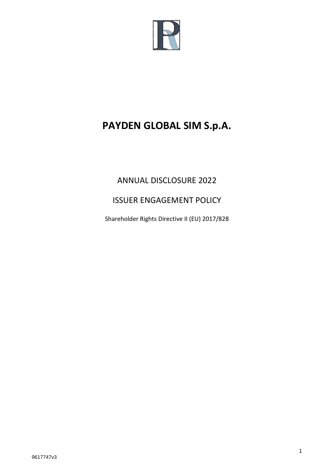

# **PAYDEN GLOBAL SIM S.p.A.**

## ANNUAL DISCLOSURE 2022

## ISSUER ENGAGEMENT POLICY

Shareholder Rights Directive II (EU) 2017/828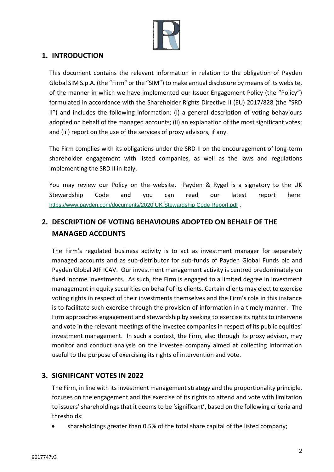

#### **1. INTRODUCTION**

This document contains the relevant information in relation to the obligation of Payden Global SIM S.p.A. (the "Firm" or the "SIM") to make annual disclosure by means of its website, of the manner in which we have implemented our Issuer Engagement Policy (the "Policy") formulated in accordance with the Shareholder Rights Directive II (EU) 2017/828 (the "SRD II") and includes the following information: (i) a general description of voting behaviours adopted on behalf of the managed accounts; (ii) an explanation of the most significant votes; and (iii) report on the use of the services of proxy advisors, if any.

The Firm complies with its obligations under the SRD II on the encouragement of long-term shareholder engagement with listed companies, as well as the laws and regulations implementing the SRD II in Italy.

You may review our Policy on the website. Payden & Rygel is a signatory to the UK Stewardship Code and you can read our latest report here: [https://www.payden.com/documents/2020 UK Stewardship Code Report.pdf](https://www.payden.com/documents/2020%20UK%20Stewardship%20Code%20Report.pdf) .

### **2. DESCRIPTION OF VOTING BEHAVIOURS ADOPTED ON BEHALF OF THE MANAGED ACCOUNTS**

The Firm's regulated business activity is to act as investment manager for separately managed accounts and as sub-distributor for sub-funds of Payden Global Funds plc and Payden Global AIF ICAV. Our investment management activity is centred predominately on fixed income investments. As such, the Firm is engaged to a limited degree in investment management in equity securities on behalf of its clients. Certain clients may elect to exercise voting rights in respect of their investments themselves and the Firm's role in this instance is to facilitate such exercise through the provision of information in a timely manner. The Firm approaches engagement and stewardship by seeking to exercise its rights to intervene and vote in the relevant meetings of the investee companies in respect of its public equities' investment management. In such a context, the Firm, also through its proxy advisor, may monitor and conduct analysis on the investee company aimed at collecting information useful to the purpose of exercising its rights of intervention and vote.

#### **3. SIGNIFICANT VOTES IN 2022**

The Firm, in line with its investment management strategy and the proportionality principle, focuses on the engagement and the exercise of its rights to attend and vote with limitation to issuers' shareholdings that it deems to be 'significant', based on the following criteria and thresholds:

• shareholdings greater than 0.5% of the total share capital of the listed company;